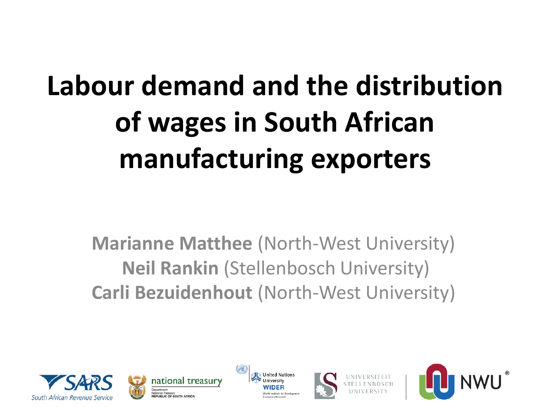# **Labour demand and the distribution of wages in South African manufacturing exporters**

**Marianne Matthee** (North-West University) **Neil Rankin** (Stellenbosch University) **Carli Bezuidenhout** (North-West University)









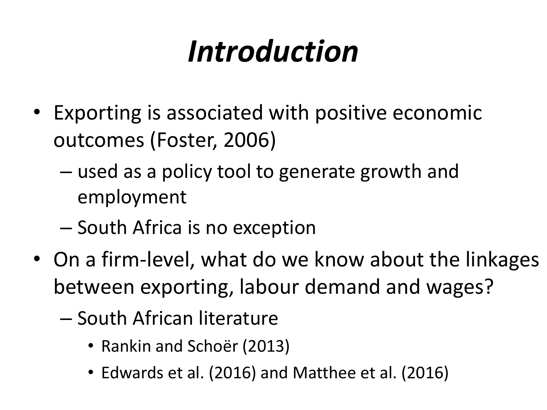## *Introduction*

- Exporting is associated with positive economic outcomes (Foster, 2006)
	- used as a policy tool to generate growth and employment
	- South Africa is no exception
- On a firm-level, what do we know about the linkages between exporting, labour demand and wages?
	- South African literature
		- Rankin and Schoër (2013)
		- Edwards et al. (2016) and Matthee et al. (2016)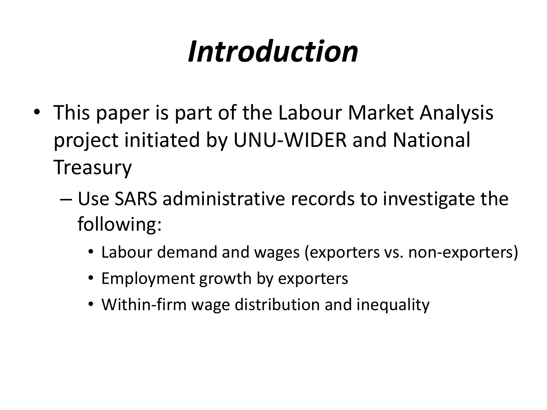## *Introduction*

- This paper is part of the Labour Market Analysis project initiated by UNU-WIDER and National **Treasury** 
	- Use SARS administrative records to investigate the following:
		- Labour demand and wages (exporters vs. non-exporters)
		- Employment growth by exporters
		- Within-firm wage distribution and inequality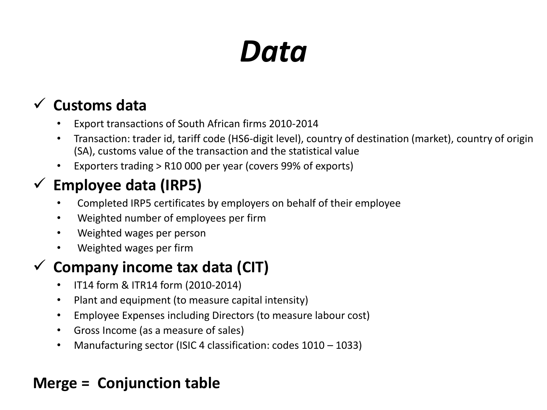## *Data*

### **Customs data**

- Export transactions of South African firms 2010-2014
- Transaction: trader id, tariff code (HS6-digit level), country of destination (market), country of origin (SA), customs value of the transaction and the statistical value
- Exporters trading > R10 000 per year (covers 99% of exports)

### **Employee data (IRP5)**

- Completed IRP5 certificates by employers on behalf of their employee
- Weighted number of employees per firm
- Weighted wages per person
- Weighted wages per firm

### **Company income tax data (CIT)**

- IT14 form & ITR14 form (2010-2014)
- Plant and equipment (to measure capital intensity)
- Employee Expenses including Directors (to measure labour cost)
- Gross Income (as a measure of sales)
- Manufacturing sector (ISIC 4 classification: codes 1010 1033)

### **Merge = Conjunction table**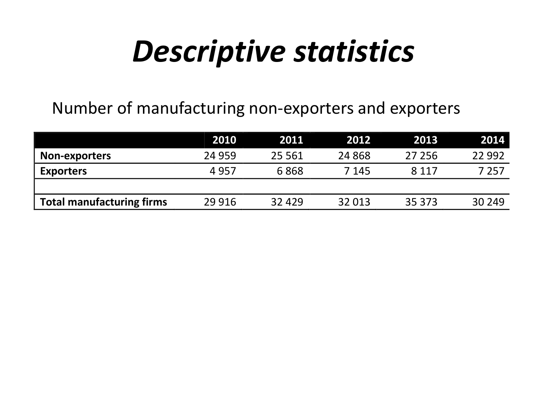## *Descriptive statistics*

### Number of manufacturing non-exporters and exporters

|                                  | 2010    | 2011     | 2012     | 2013    | 2014    |
|----------------------------------|---------|----------|----------|---------|---------|
| Non-exporters                    | 24 9 59 | 25 5 6 1 | 24 8 6 8 | 27 25 6 | 22 9 92 |
| <b>Exporters</b>                 | 4957    | 6868     | 7 1 4 5  | 8 1 1 7 | 7 257   |
|                                  |         |          |          |         |         |
| <b>Total manufacturing firms</b> | 29 9 16 | 32 4 29  | 32 013   | 35 373  | 30 249  |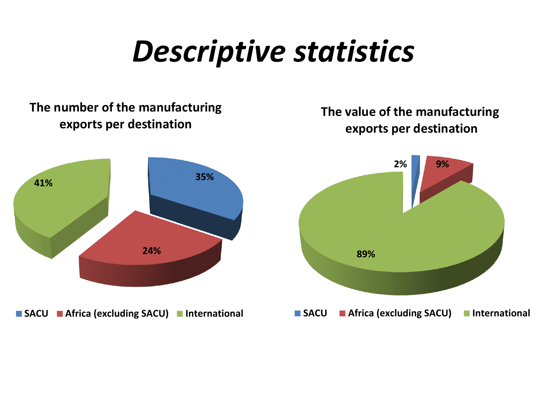## *Descriptive statistics*

#### **The number of the manufacturing exports per destination**

#### **The value of the manufacturing exports per destination**

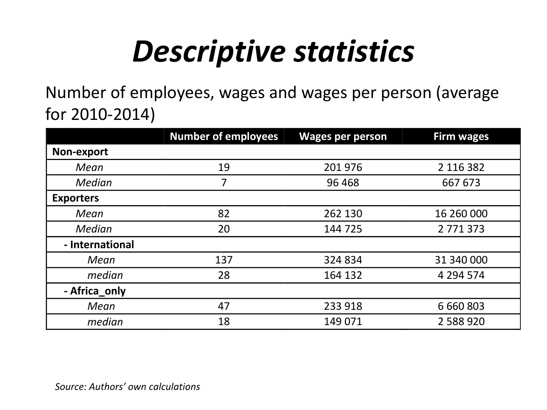# *Descriptive statistics*

Number of employees, wages and wages per person (average for 2010-2014)

|                  | <b>Number of employees</b> | <b>Wages per person</b> | <b>Firm wages</b> |  |
|------------------|----------------------------|-------------------------|-------------------|--|
| Non-export       |                            |                         |                   |  |
| Mean             | 19                         | 201 976                 | 2 116 382         |  |
| <b>Median</b>    | 7                          | 96 4 68                 | 667 673           |  |
| <b>Exporters</b> |                            |                         |                   |  |
| Mean             | 82                         | 262 130                 | 16 260 000        |  |
| <b>Median</b>    | 20                         | 144 725                 | 2771373           |  |
| - International  |                            |                         |                   |  |
| Mean             | 137                        | 324 834                 | 31 340 000        |  |
| median           | 28                         | 164 132                 | 4 294 574         |  |
| - Africa_only    |                            |                         |                   |  |
| Mean             | 47                         | 233 918                 |                   |  |
| median           | 18                         | 149 071                 | 2 588 920         |  |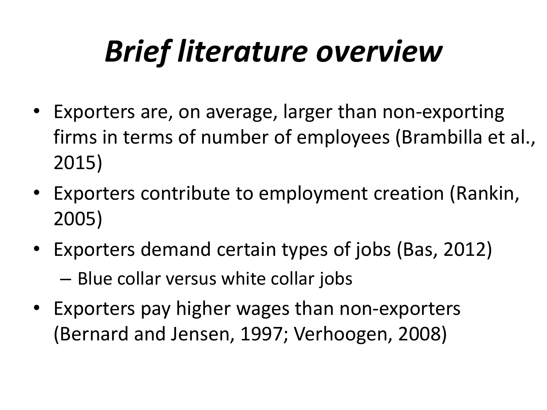# *Brief literature overview*

- Exporters are, on average, larger than non-exporting firms in terms of number of employees (Brambilla et al., 2015)
- Exporters contribute to employment creation (Rankin, 2005)
- Exporters demand certain types of jobs (Bas, 2012) – Blue collar versus white collar jobs
- Exporters pay higher wages than non-exporters (Bernard and Jensen, 1997; Verhoogen, 2008)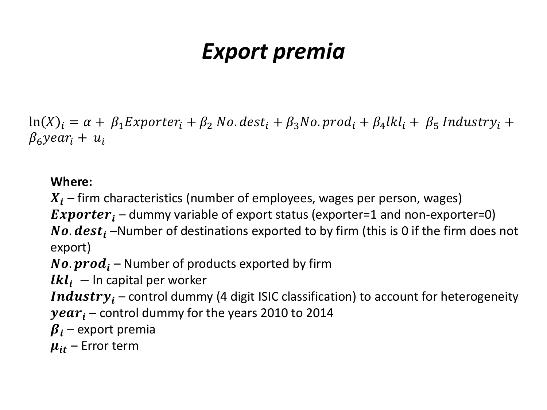### *Export premia*

 $\ln(X)_i = \alpha + \beta_1 Exporter_i + \beta_2 No. dest_i + \beta_3 No. prod_i + \beta_4 lkl_i + \beta_5 Industry_i +$  $\beta_6$ year<sub>i</sub> +  $u_i$ 

#### **Where:**

 $X_i$  – firm characteristics (number of employees, wages per person, wages)

**Exporter**<sub>i</sub> – dummy variable of export status (exporter=1 and non-exporter=0)

No.  $dest_i$  –Number of destinations exported to by firm (this is 0 if the firm does not export)

**No.**  $prod_i$  – Number of products exported by firm

 $lkl_i$  – In capital per worker

**Industry**<sub>i</sub> – control dummy (4 digit ISIC classification) to account for heterogeneity  $year_i$  – control dummy for the years 2010 to 2014

 $\beta_i$  – export premia

 $\mu_{it}$  – Error term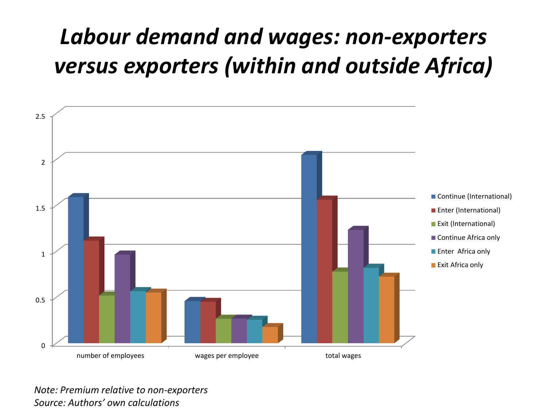## *Labour demand and wages: non-exporters versus exporters (within and outside Africa)*



*Note: Premium relative to non-exporters Source: Authors' own calculations*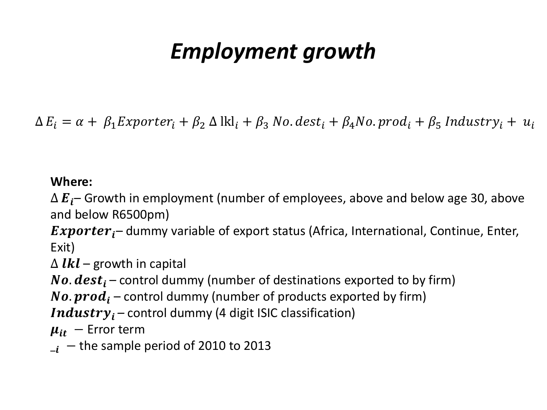### *Employment growth*

 $\Delta E_i = \alpha + \beta_1 Exporter_i + \beta_2 \Delta k_i + \beta_3 No. dest_i + \beta_4 No. prod_i + \beta_5 Industry_i + u_i$ 

#### **Where:**

 $\Delta E_i$  – Growth in employment (number of employees, above and below age 30, above and below R6500pm)

**Exporter**<sub>i</sub> – dummy variable of export status (Africa, International, Continue, Enter, Exit)

 $\Delta$  *lkl* – growth in capital

**No.**  $dest_i$  – control dummy (number of destinations exported to by firm)

**No.**  $prod_i$  – control dummy (number of products exported by firm)

*Industry*<sub>i</sub> – control dummy (4 digit ISIC classification)

 $\mu_{it}$  – Error term

 $_{-i}$  – the sample period of 2010 to 2013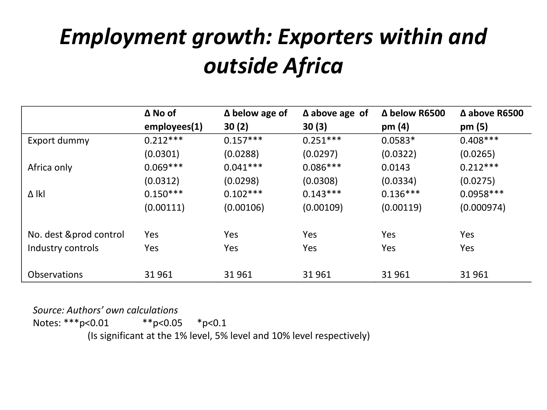## *Employment growth: Exporters within and outside Africa*

|                     | $\Delta$ No of | $\Delta$ below age of | $\Delta$ above age of | $\Delta$ below R6500 | $\Delta$ above R6500 |
|---------------------|----------------|-----------------------|-----------------------|----------------------|----------------------|
|                     | employes(1)    | 30(2)                 | 30(3)                 | pm $(4)$             | pm(5)                |
| Export dummy        | $0.212***$     | $0.157***$            | $0.251***$            | $0.0583*$            | $0.408***$           |
|                     | (0.0301)       | (0.0288)              | (0.0297)              | (0.0322)             | (0.0265)             |
| Africa only         | $0.069***$     | $0.041***$            | $0.086***$            | 0.0143               | $0.212***$           |
|                     | (0.0312)       | (0.0298)              | (0.0308)              | (0.0334)             | (0.0275)             |
| ∆ lkl               | $0.150***$     | $0.102***$            | $0.143***$            | $0.136***$           | $0.0958***$          |
|                     | (0.00111)      | (0.00106)             | (0.00109)             | (0.00119)            | (0.000974)           |
| No. dest ∏ control  | Yes            | Yes                   | Yes                   | Yes                  | Yes                  |
| Industry controls   | Yes            | Yes                   | Yes                   | Yes                  | Yes                  |
| <b>Observations</b> | 31961          | 31961                 | 31 961                | 31 961               | 31 961               |

*Source: Authors' own calculations*

Notes: \*\*\*p<0.01 \*\*p<0.05 \*p<0.1

(Is significant at the 1% level, 5% level and 10% level respectively)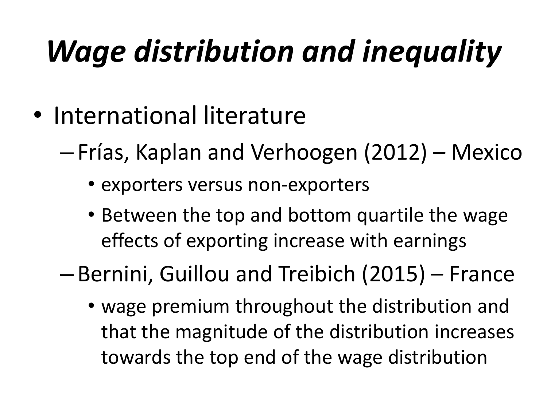# *Wage distribution and inequality*

- International literature
	- Frías, Kaplan and Verhoogen (2012) Mexico
		- exporters versus non-exporters
		- Between the top and bottom quartile the wage effects of exporting increase with earnings

– Bernini, Guillou and Treibich (2015) – France

• wage premium throughout the distribution and that the magnitude of the distribution increases towards the top end of the wage distribution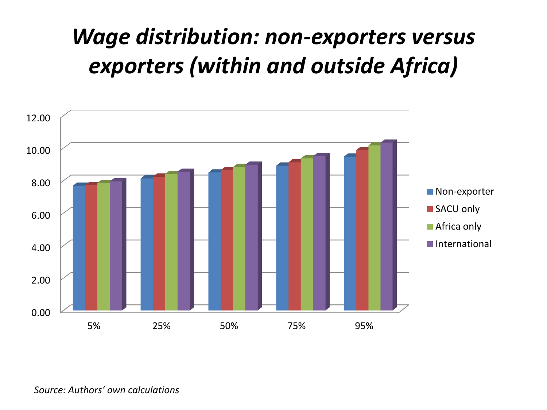### *Wage distribution: non-exporters versus exporters (within and outside Africa)*

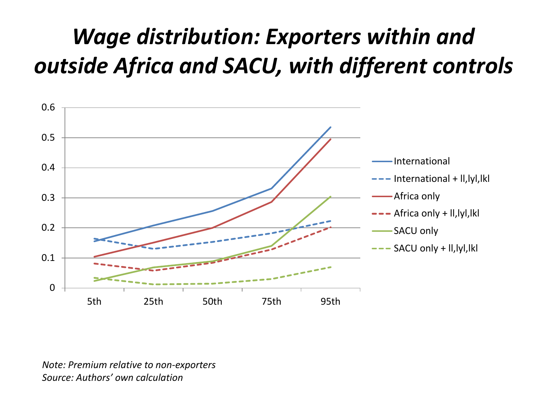## *Wage distribution: Exporters within and outside Africa and SACU, with different controls*



*Note: Premium relative to non-exporters Source: Authors' own calculation*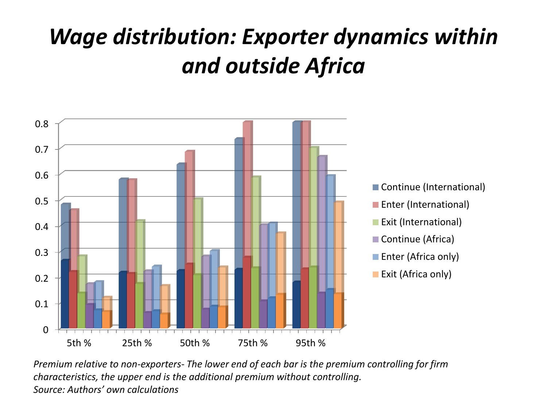## *Wage distribution: Exporter dynamics within and outside Africa*



*Premium relative to non-exporters- The lower end of each bar is the premium controlling for firm characteristics, the upper end is the additional premium without controlling. Source: Authors' own calculations*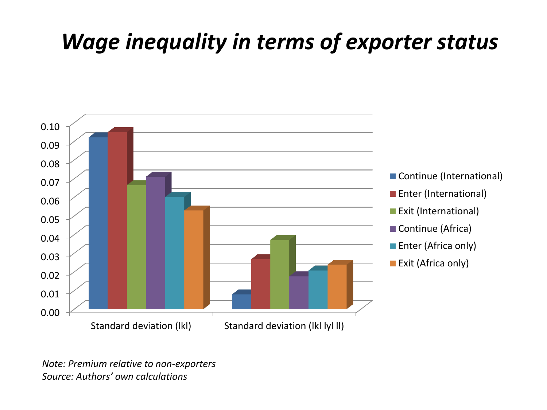### *Wage inequality in terms of exporter status*



*Note: Premium relative to non-exporters Source: Authors' own calculations*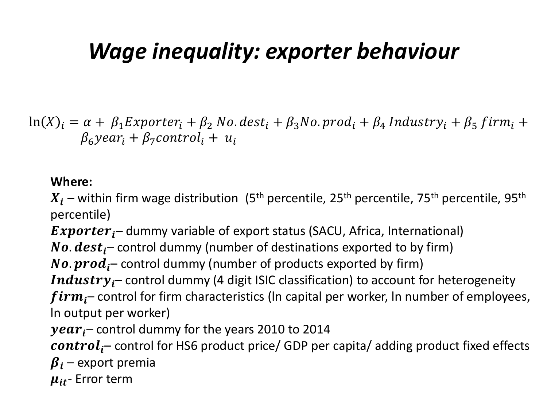### *Wage inequality: exporter behaviour*

 $\ln(X)_i = \alpha + \beta_1$ Exporter<sub>i</sub> +  $\beta_2$  No. dest<sub>i</sub> +  $\beta_3$ No. prod<sub>i</sub> +  $\beta_4$  Industry<sub>i</sub> +  $\beta_5$  firm<sub>i</sub> +  $\beta_6$ year<sub>i</sub> +  $\beta_7$ control<sub>i</sub> +  $u_i$ 

#### **Where:**

 $X_i$  – within firm wage distribution (5<sup>th</sup> percentile, 25<sup>th</sup> percentile, 75<sup>th</sup> percentile, 95<sup>th</sup> percentile)

**Exporter**<sub>i</sub> – dummy variable of export status (SACU, Africa, International)

**No.**  $dest_i$  – control dummy (number of destinations exported to by firm)

**No.**  $prod_{i}$  control dummy (number of products exported by firm)

**Industry**  $j$  – control dummy (4 digit ISIC classification) to account for heterogeneity

 $firm_i$  control for firm characteristics (In capital per worker, In number of employees, ln output per worker)

 $year<sub>i</sub>$  – control dummy for the years 2010 to 2014

 $control_i$ – control for HS6 product price/ GDP per capita/ adding product fixed effects  $\beta_i$  – export premia

 $\mu_{it}$ - Error term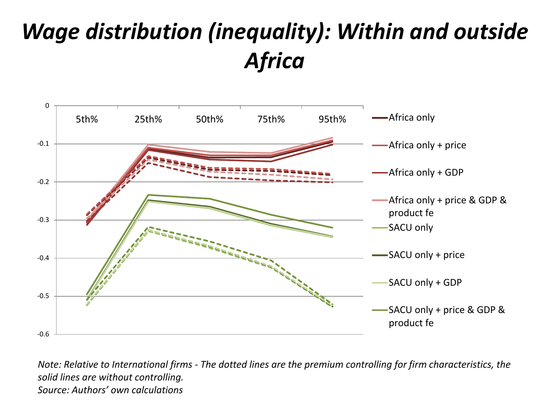## *Wage distribution (inequality): Within and outside Africa*



*Note: Relative to International firms - The dotted lines are the premium controlling for firm characteristics, the solid lines are without controlling. Source: Authors' own calculations*